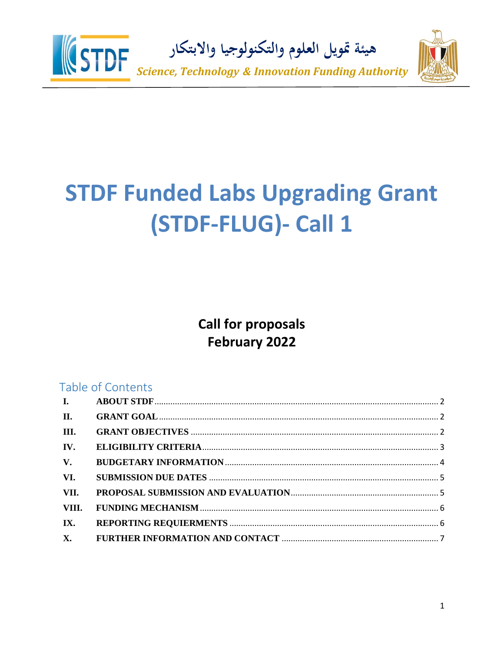

# **STDF Funded Labs Upgrading Grant** (STDF-FLUG)- Call 1

**Call for proposals February 2022** 

# Table of Contents

| I.          |  |
|-------------|--|
| II.         |  |
| III.        |  |
| IV.         |  |
| $V_{\star}$ |  |
| VI.         |  |
| VII.        |  |
| VIII.       |  |
| IX.         |  |
|             |  |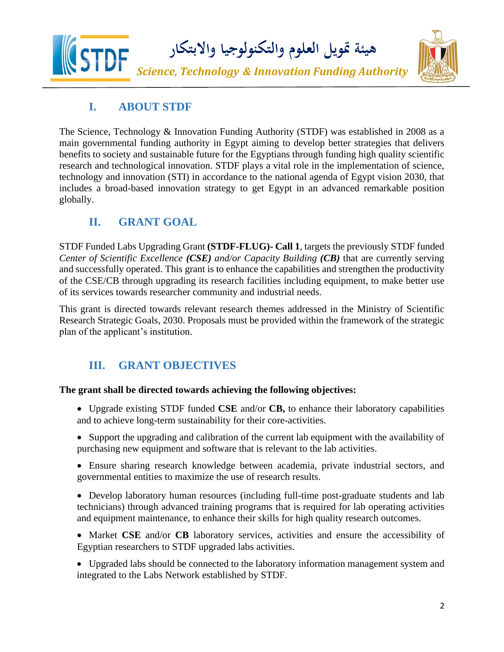

### **I. ABOUT STDF**

<span id="page-1-0"></span>The Science, Technology & Innovation Funding Authority (STDF) was established in 2008 as a main governmental funding authority in Egypt aiming to develop better strategies that delivers benefits to society and sustainable future for the Egyptians through funding high quality scientific research and technological innovation. STDF plays a vital role in the implementation of science, technology and innovation (STI) in accordance to the national agenda of Egypt vision 2030, that includes a broad-based innovation strategy to get Egypt in an advanced remarkable position globally.

# <span id="page-1-1"></span>**II. GRANT GOAL**

STDF Funded Labs Upgrading Grant **(STDF-FLUG)- Call 1**, targets the previously STDF funded *Center of Scientific Excellence (CSE) and/or Capacity Building (CB)* that are currently serving and successfully operated. This grant is to enhance the capabilities and strengthen the productivity of the CSE/CB through upgrading its research facilities including equipment, to make better use of its services towards researcher community and industrial needs.

This grant is directed towards relevant research themes addressed in the Ministry of Scientific Research Strategic Goals, 2030. Proposals must be provided within the framework of the strategic plan of the applicant's institution.

# <span id="page-1-2"></span>**III. GRANT OBJECTIVES**

### **The grant shall be directed towards achieving the following objectives:**

- Upgrade existing STDF funded **CSE** and/or **CB,** to enhance their laboratory capabilities and to achieve long-term sustainability for their core-activities.
- Support the upgrading and calibration of the current lab equipment with the availability of purchasing new equipment and software that is relevant to the lab activities.
- Ensure sharing research knowledge between academia, private industrial sectors, and governmental entities to maximize the use of research results.
- Develop laboratory human resources (including full-time post-graduate students and lab technicians) through advanced training programs that is required for lab operating activities and equipment maintenance, to enhance their skills for high quality research outcomes.
- Market **CSE** and/or **CB** laboratory services, activities and ensure the accessibility of Egyptian researchers to STDF upgraded labs activities.
- Upgraded labs should be connected to the laboratory information management system and integrated to the Labs Network established by STDF.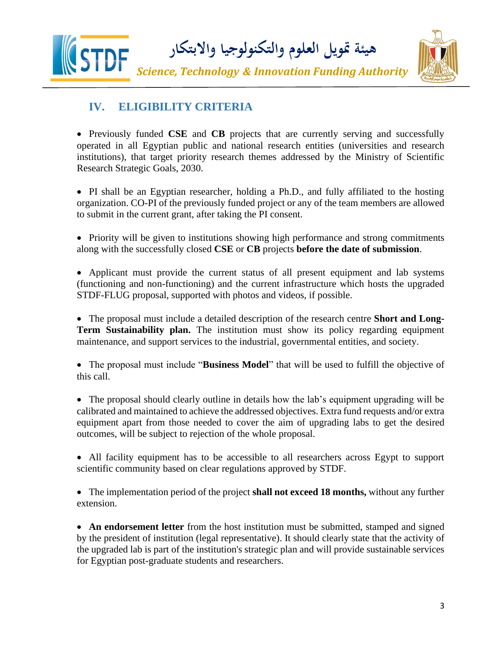

### <span id="page-2-0"></span>**IV. ELIGIBILITY CRITERIA**

• Previously funded **CSE** and **CB** projects that are currently serving and successfully operated in all Egyptian public and national research entities (universities and research institutions), that target priority research themes addressed by the Ministry of Scientific Research Strategic Goals, 2030.

• PI shall be an Egyptian researcher, holding a Ph.D., and fully affiliated to the hosting organization. CO-PI of the previously funded project or any of the team members are allowed to submit in the current grant, after taking the PI consent.

• Priority will be given to institutions showing high performance and strong commitments along with the successfully closed **CSE** or **CB** projects **before the date of submission**.

• Applicant must provide the current status of all present equipment and lab systems (functioning and non-functioning) and the current infrastructure which hosts the upgraded STDF-FLUG proposal, supported with photos and videos, if possible.

• The proposal must include a detailed description of the research centre **Short and Long-Term Sustainability plan.** The institution must show its policy regarding equipment maintenance, and support services to the industrial, governmental entities, and society.

• The proposal must include "**Business Model**" that will be used to fulfill the objective of this call.

• The proposal should clearly outline in details how the lab's equipment upgrading will be calibrated and maintained to achieve the addressed objectives. Extra fund requests and/or extra equipment apart from those needed to cover the aim of upgrading labs to get the desired outcomes, will be subject to rejection of the whole proposal.

• All facility equipment has to be accessible to all researchers across Egypt to support scientific community based on clear regulations approved by STDF.

• The implementation period of the project **shall not exceed 18 months,** without any further extension.

• An endorsement letter from the host institution must be submitted, stamped and signed by the president of institution (legal representative). It should clearly state that the activity of the upgraded lab is part of the institution's strategic plan and will provide sustainable services for Egyptian post-graduate students and researchers.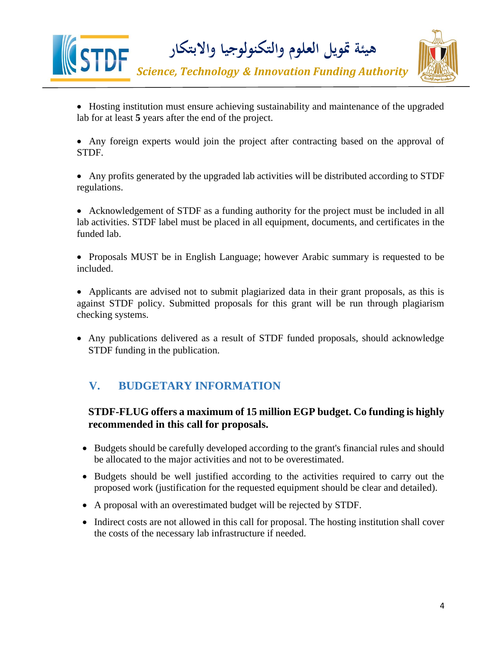

- Hosting institution must ensure achieving sustainability and maintenance of the upgraded lab for at least **5** years after the end of the project.
- Any foreign experts would join the project after contracting based on the approval of STDF.
- Any profits generated by the upgraded lab activities will be distributed according to STDF regulations.
- Acknowledgement of STDF as a funding authority for the project must be included in all lab activities. STDF label must be placed in all equipment, documents, and certificates in the funded lab.
- Proposals MUST be in English Language; however Arabic summary is requested to be included.
- Applicants are advised not to submit plagiarized data in their grant proposals, as this is against STDF policy. Submitted proposals for this grant will be run through plagiarism checking systems.
- Any publications delivered as a result of STDF funded proposals, should acknowledge STDF funding in the publication.

# <span id="page-3-0"></span>**V. BUDGETARY INFORMATION**

### **STDF-FLUG offers a maximum of 15 million EGP budget. Co funding is highly recommended in this call for proposals.**

- Budgets should be carefully developed according to the grant's financial rules and should be allocated to the major activities and not to be overestimated.
- Budgets should be well justified according to the activities required to carry out the proposed work (justification for the requested equipment should be clear and detailed).
- A proposal with an overestimated budget will be rejected by STDF.
- Indirect costs are not allowed in this call for proposal. The hosting institution shall cover the costs of the necessary lab infrastructure if needed.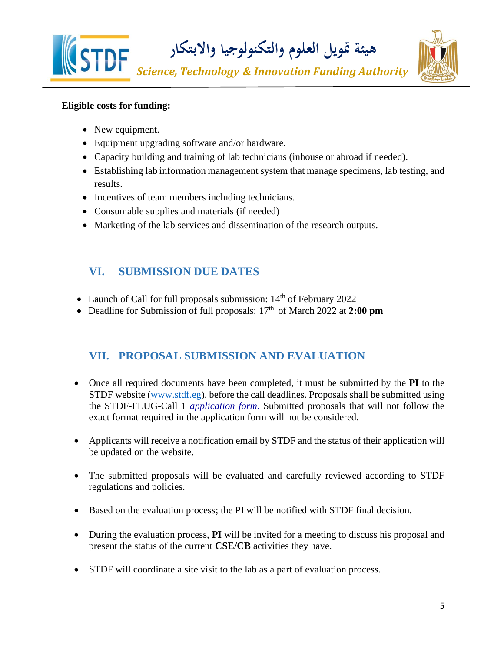

### **Eligible costs for funding:**

- New equipment.
- Equipment upgrading software and/or hardware.
- Capacity building and training of lab technicians (inhouse or abroad if needed).
- Establishing lab information management system that manage specimens, lab testing, and results.
- Incentives of team members including technicians.
- Consumable supplies and materials (if needed)
- Marketing of the lab services and dissemination of the research outputs.

### <span id="page-4-0"></span>**VI. SUBMISSION DUE DATES**

- Launch of Call for full proposals submission: 14<sup>th</sup> of February 2022
- Deadline for Submission of full proposals: 17<sup>th</sup> of March 2022 at 2:00 pm

### <span id="page-4-1"></span>**VII. PROPOSAL SUBMISSION AND EVALUATION**

- Once all required documents have been completed, it must be submitted by the **PI** to the STDF website [\(www.stdf.eg\)](http://www.stdf.org.eg/), before the call deadlines. Proposals shall be submitted using the STDF-FLUG-Call 1 *application form.* Submitted proposals that will not follow the exact format required in the application form will not be considered.
- Applicants will receive a notification email by STDF and the status of their application will be updated on the website.
- The submitted proposals will be evaluated and carefully reviewed according to STDF regulations and policies.
- Based on the evaluation process; the PI will be notified with STDF final decision.
- During the evaluation process, **PI** will be invited for a meeting to discuss his proposal and present the status of the current **CSE/CB** activities they have.
- STDF will coordinate a site visit to the lab as a part of evaluation process.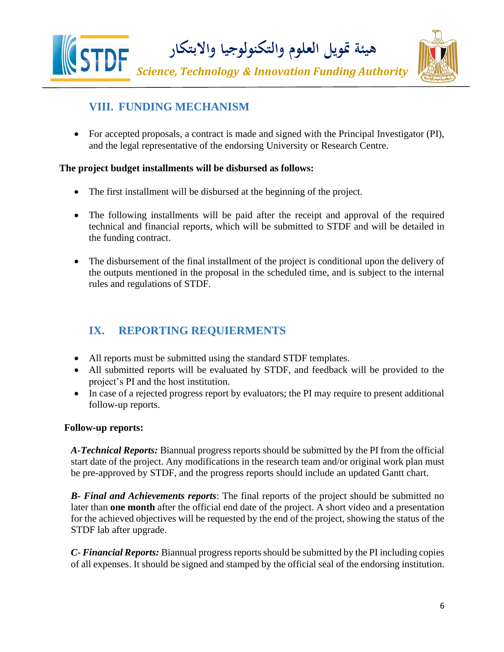



# <span id="page-5-0"></span>**VIII. FUNDING MECHANISM**

• For accepted proposals, a contract is made and signed with the Principal Investigator (PI), and the legal representative of the endorsing University or Research Centre.

### **The project budget installments will be disbursed as follows:**

- The first installment will be disbursed at the beginning of the project.
- The following installments will be paid after the receipt and approval of the required technical and financial reports, which will be submitted to STDF and will be detailed in the funding contract.
- The disbursement of the final installment of the project is conditional upon the delivery of the outputs mentioned in the proposal in the scheduled time, and is subject to the internal rules and regulations of STDF.

# <span id="page-5-1"></span>**IX. REPORTING REQUIERMENTS**

- All reports must be submitted using the standard STDF templates.
- All submitted reports will be evaluated by STDF, and feedback will be provided to the project's PI and the host institution.
- In case of a rejected progress report by evaluators; the PI may require to present additional follow-up reports.

### **Follow-up reports:**

*A-Technical Reports:* Biannual progress reports should be submitted by the PI from the official start date of the project. Any modifications in the research team and/or original work plan must be pre-approved by STDF, and the progress reports should include an updated Gantt chart.

*B- Final and Achievements reports*: The final reports of the project should be submitted no later than **one month** after the official end date of the project. A short video and a presentation for the achieved objectives will be requested by the end of the project, showing the status of the STDF lab after upgrade.

*C- Financial Reports:* Biannual progress reports should be submitted by the PI including copies of all expenses. It should be signed and stamped by the official seal of the endorsing institution.